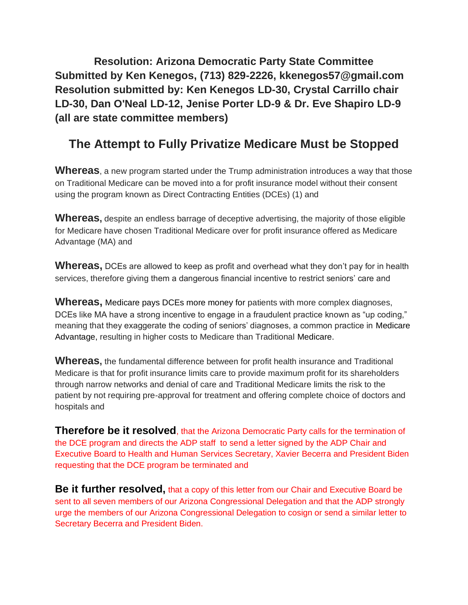**Resolution: Arizona Democratic Party State Committee Submitted by Ken Kenegos, (713) 829-2226, kkenegos57@gmail.com Resolution submitted by: Ken Kenegos LD-30, Crystal Carrillo chair LD-30, Dan O'Neal LD-12, Jenise Porter LD-9 & Dr. Eve Shapiro LD-9 (all are state committee members)**

## **The Attempt to Fully Privatize Medicare Must be Stopped**

**Whereas**, a new program started under the Trump administration introduces a way that those on Traditional Medicare can be moved into a for profit insurance model without their consent using the program known as Direct Contracting Entities (DCEs) (1) and

**Whereas,** despite an endless barrage of deceptive advertising, the majority of those eligible for Medicare have chosen Traditional Medicare over for profit insurance offered as Medicare Advantage (MA) and

**Whereas,** DCEs are allowed to keep as profit and overhead what they don't pay for in health services, therefore giving them a dangerous financial incentive to restrict seniors' care and

**Whereas,** Medicare pays DCEs more money for patients with more complex diagnoses, DCEs like MA have a strong incentive to engage in a fraudulent practice known as "up coding," meaning that they exaggerate the coding of seniors' diagnoses, a common practice in Medicare Advantage, resulting in higher costs to Medicare than Traditional Medicare.

**Whereas,** the fundamental difference between for profit health insurance and Traditional Medicare is that for profit insurance limits care to provide maximum profit for its shareholders through narrow networks and denial of care and Traditional Medicare limits the risk to the patient by not requiring pre-approval for treatment and offering complete choice of doctors and hospitals and

**Therefore be it resolved**, that the Arizona Democratic Party calls for the termination of the DCE program and directs the ADP staff to send a letter signed by the ADP Chair and Executive Board to Health and Human Services Secretary, Xavier Becerra and President Biden requesting that the DCE program be terminated and

**Be it further resolved,** that a copy of this letter from our Chair and Executive Board be sent to all seven members of our Arizona Congressional Delegation and that the ADP strongly urge the members of our Arizona Congressional Delegation to cosign or send a similar letter to Secretary Becerra and President Biden.